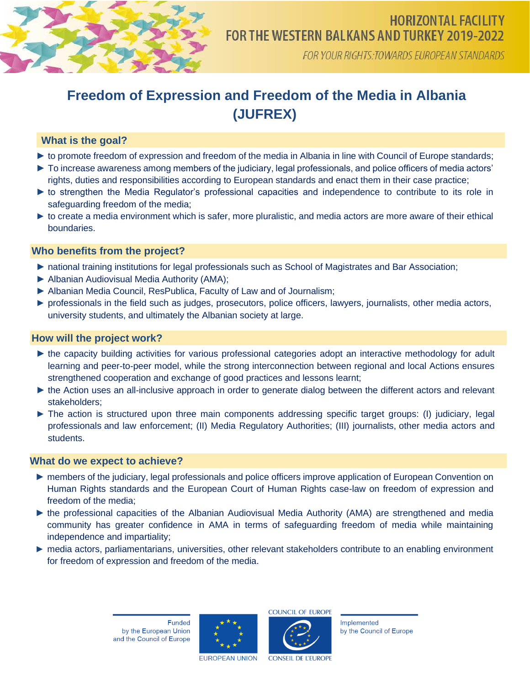

FOR YOUR RIGHTS: TOWARDS EUROPEAN STANDARDS

# **Freedom of Expression and Freedom of the Media in Albania (JUFREX)**

# **What is the goal?**

- ► to promote freedom of expression and freedom of the media in Albania in line with Council of Europe standards;
- ► To increase awareness among members of the judiciary, legal professionals, and police officers of media actors' rights, duties and responsibilities according to European standards and enact them in their case practice;
- ► to strengthen the Media Regulator's professional capacities and independence to contribute to its role in safeguarding freedom of the media;
- ► to create a media environment which is safer, more pluralistic, and media actors are more aware of their ethical boundaries.

# **Who benefits from the project?**

- ► national training institutions for legal professionals such as School of Magistrates and Bar Association;
- ► Albanian Audiovisual Media Authority (AMA);
- ► Albanian Media Council, ResPublica, Faculty of Law and of Journalism;
- ► professionals in the field such as judges, prosecutors, police officers, lawyers, journalists, other media actors, university students, and ultimately the Albanian society at large.

### **How will the project work?**

- ► the capacity building activities for various professional categories adopt an interactive methodology for adult learning and peer-to-peer model, while the strong interconnection between regional and local Actions ensures strengthened cooperation and exchange of good practices and lessons learnt;
- ► the Action uses an all-inclusive approach in order to generate dialog between the different actors and relevant stakeholders;
- ► The action is structured upon three main components addressing specific target groups: (I) judiciary, legal professionals and law enforcement; (II) Media Regulatory Authorities; (III) journalists, other media actors and students.

#### **What do we expect to achieve?**

- ► members of the judiciary, legal professionals and police officers improve application of European Convention on Human Rights standards and the European Court of Human Rights case-law on freedom of expression and freedom of the media;
- ► the professional capacities of the Albanian Audiovisual Media Authority (AMA) are strengthened and media community has greater confidence in AMA in terms of safeguarding freedom of media while maintaining independence and impartiality;
- ► media actors, parliamentarians, universities, other relevant stakeholders contribute to an enabling environment for freedom of expression and freedom of the media.





Implemented by the Council of Europe

**EUROPEAN UNION** 

**CONSEIL DE L'EUROPE**